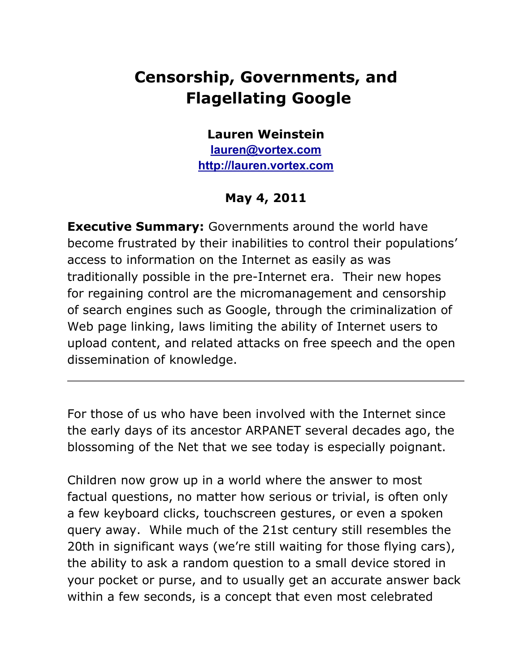## **Censorship, Governments, and Flagellating Google**

## **Lauren Weinstein**

**[lauren](mailto:lauren@vortex.com)@vort[ex.](mailto:lauren@vortex.com)c[om](mailto:lauren@vortex.com) [http:](http://lauren.vortex.com/)//la[uren.vortex](http://lauren.vortex.com/).com**

## **May 4, 2011**

**Executive Summary:** Governments around the world have become frustrated by their inabilities to control their populations' access to information on the Internet as easily as was traditionally possible in the pre-Internet era. Their new hopes for regaining control are the micromanagement and censorship of search engines such as Google, through the criminalization of Web page linking, laws limiting the ability of Internet users to upload content, and related attacks on free speech and the open dissemination of knowledge.

For those of us who have been involved with the Internet since the early days of its ancestor ARPANET several decades ago, the blossoming of the Net that we see today is especially poignant.

Children now grow up in a world where the answer to most factual questions, no matter how serious or trivial, is often only a few keyboard clicks, touchscreen gestures, or even a spoken query away. While much of the 21st century still resembles the 20th in significant ways (we're still waiting for those flying cars), the ability to ask a random question to a small device stored in your pocket or purse, and to usually get an accurate answer back within a few seconds, is a concept that even most celebrated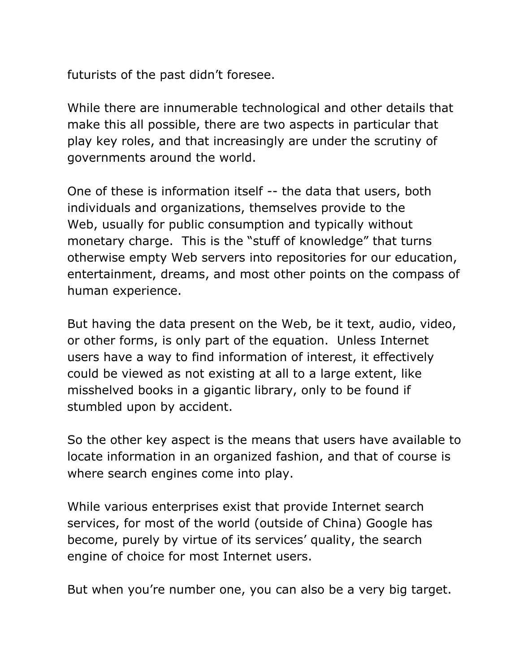futurists of the past didn't foresee.

While there are innumerable technological and other details that make this all possible, there are two aspects in particular that play key roles, and that increasingly are under the scrutiny of governments around the world.

One of these is information itself -- the data that users, both individuals and organizations, themselves provide to the Web, usually for public consumption and typically without monetary charge. This is the "stuff of knowledge" that turns otherwise empty Web servers into repositories for our education, entertainment, dreams, and most other points on the compass of human experience.

But having the data present on the Web, be it text, audio, video, or other forms, is only part of the equation. Unless Internet users have a way to find information of interest, it effectively could be viewed as not existing at all to a large extent, like misshelved books in a gigantic library, only to be found if stumbled upon by accident.

So the other key aspect is the means that users have available to locate information in an organized fashion, and that of course is where search engines come into play.

While various enterprises exist that provide Internet search services, for most of the world (outside of China) Google has become, purely by virtue of its services' quality, the search engine of choice for most Internet users.

But when you're number one, you can also be a very big target.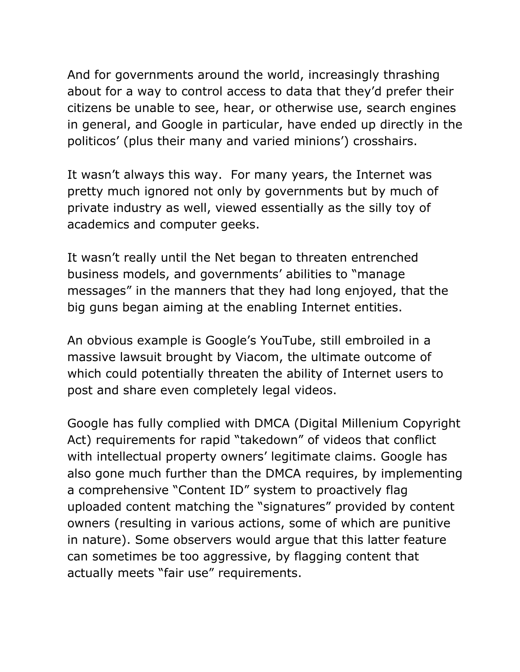And for governments around the world, increasingly thrashing about for a way to control access to data that they'd prefer their citizens be unable to see, hear, or otherwise use, search engines in general, and Google in particular, have ended up directly in the politicos' (plus their many and varied minions') crosshairs.

It wasn't always this way. For many years, the Internet was pretty much ignored not only by governments but by much of private industry as well, viewed essentially as the silly toy of academics and computer geeks.

It wasn't really until the Net began to threaten entrenched business models, and governments' abilities to "manage messages" in the manners that they had long enjoyed, that the big guns began aiming at the enabling Internet entities.

An obvious example is Google's YouTube, still embroiled in a massive lawsuit brought by Viacom, the ultimate outcome of which could potentially threaten the ability of Internet users to post and share even completely legal videos.

Google has fully complied with DMCA (Digital Millenium Copyright Act) requirements for rapid "takedown" of videos that conflict with intellectual property owners' legitimate claims. Google has also gone much further than the DMCA requires, by implementing a comprehensive "Content ID" system to proactively flag uploaded content matching the "signatures" provided by content owners (resulting in various actions, some of which are punitive in nature). Some observers would argue that this latter feature can sometimes be too aggressive, by flagging content that actually meets "fair use" requirements.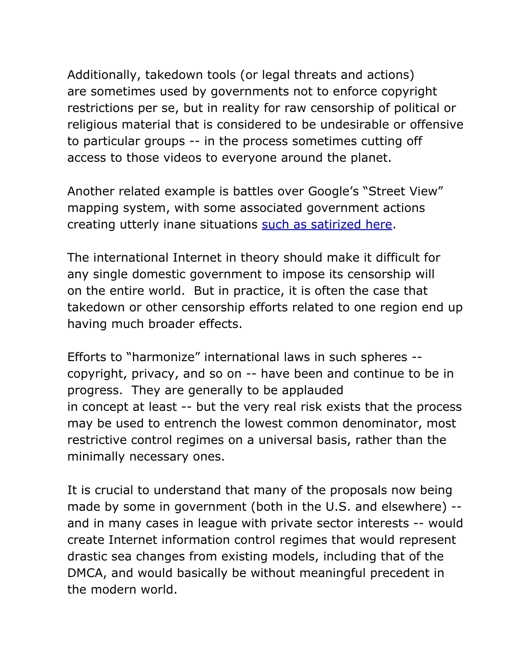Additionally, takedown tools (or legal threats and actions) are sometimes used by governments not to enforce copyright restrictions per se, but in reality for raw censorship of political or religious material that is considered to be undesirable or offensive to particular groups -- in the process sometimes cutting off access to those videos to everyone around the planet.

Another related example is battles over Google's "Street View" mapping system, with some associated government actions creating utterly inane situations [such](http://lauren.vortex.com/archive/000818.html) as [satiri](http://lauren.vortex.com/archive/000818.html)z[ed](http://lauren.vortex.com/archive/000818.html) [here.](http://lauren.vortex.com/archive/000818.html)

The international Internet in theory should make it difficult for any single domestic government to impose its censorship will on the entire world. But in practice, it is often the case that takedown or other censorship efforts related to one region end up having much broader effects.

Efforts to "harmonize" international laws in such spheres - copyright, privacy, and so on -- have been and continue to be in progress. They are generally to be applauded in concept at least -- but the very real risk exists that the process may be used to entrench the lowest common denominator, most restrictive control regimes on a universal basis, rather than the minimally necessary ones.

It is crucial to understand that many of the proposals now being made by some in government (both in the U.S. and elsewhere) - and in many cases in league with private sector interests -- would create Internet information control regimes that would represent drastic sea changes from existing models, including that of the DMCA, and would basically be without meaningful precedent in the modern world.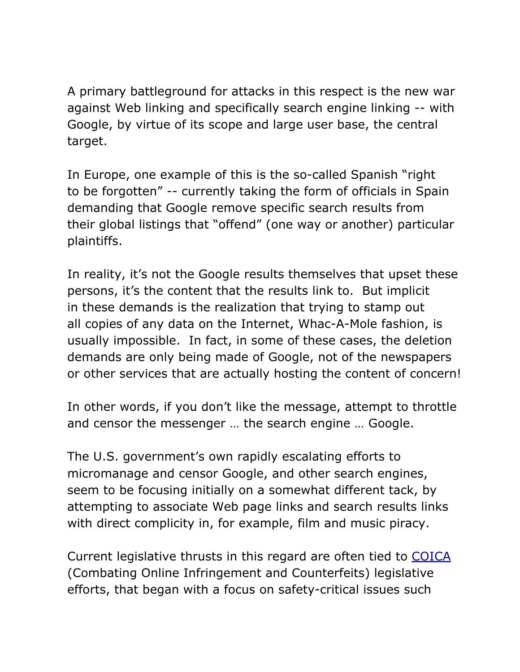A primary battleground for attacks in this respect is the new war against Web linking and specifically search engine linking -- with Google, by virtue of its scope and large user base, the central target.

In Europe, one example of this is the so-called Spanish "right to be forgotten" -- currently taking the form of officials in Spain demanding that Google remove specific search results from their global listings that "offend" (one way or another) particular plaintiffs.

In reality, it's not the Google results themselves that upset these persons, it's the content that the results link to. But implicit in these demands is the realization that trying to stamp out all copies of any data on the Internet, Whac-A-Mole fashion, is usually impossible. In fact, in some of these cases, the deletion demands are only being made of Google, not of the newspapers or other services that are actually hosting the content of concern!

In other words, if you don't like the message, attempt to throttle and censor the messenger … the search engine … Google.

The U.S. government's own rapidly escalating efforts to micromanage and censor Google, and other search engines, seem to be focusing initially on a somewhat different tack, by attempting to associate Web page links and search results links with direct complicity in, for example, film and music piracy.

Current legislative thrusts in this regard are often tied to [COICA](http://www.youtube.com/watch?v=Ml_0pUpAs9Y) (Combating Online Infringement and Counterfeits) legislative efforts, that began with a focus on safety-critical issues such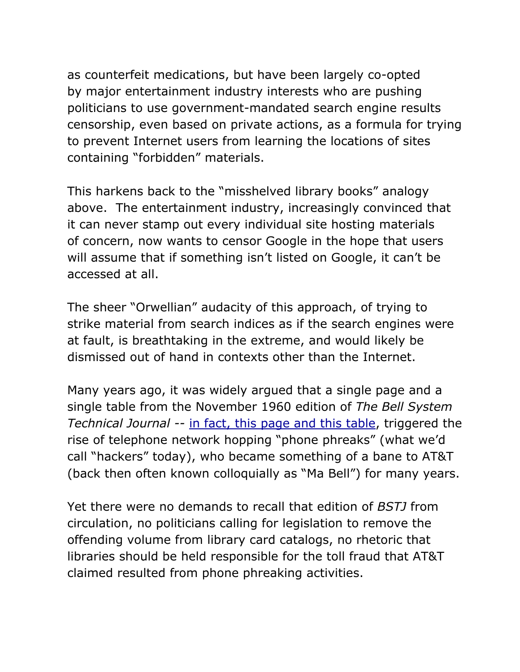as counterfeit medications, but have been largely co-opted by major entertainment industry interests who are pushing politicians to use government-mandated search engine results censorship, even based on private actions, as a formula for trying to prevent Internet users from learning the locations of sites containing "forbidden" materials.

This harkens back to the "misshelved library books" analogy above. The entertainment industry, increasingly convinced that it can never stamp out every individual site hosting materials of concern, now wants to censor Google in the hope that users will assume that if something isn't listed on Google, it can't be accessed at all.

The sheer "Orwellian" audacity of this approach, of trying to strike material from search indices as if the search engines were at fault, is breathtaking in the extreme, and would likely be dismissed out of hand in contexts other than the Internet.

Many years ago, it was widely argued that a single page and a single table from the November 1960 edition of *The Bell System Technical Journal --* [in](http://lauren.vortex.com/bstj-bluebox.jpg) f[act,](http://lauren.vortex.com/bstj-bluebox.jpg) this [page](http://lauren.vortex.com/bstj-bluebox.jpg) and [th](http://lauren.vortex.com/bstj-bluebox.jpg)is [tab](http://lauren.vortex.com/bstj-bluebox.jpg)le, t[rigger](http://lauren.vortex.com/bstj-bluebox.jpg)ed [the](http://lauren.vortex.com/bstj-bluebox.jpg) rise of telephone network hopping "phone phreaks" (what we'd call "hackers" today), who became something of a bane to AT&T (back then often known colloquially as "Ma Bell") for many years.

Yet there were no demands to recall that edition of *BSTJ* from circulation, no politicians calling for legislation to remove the offending volume from library card catalogs, no rhetoric that libraries should be held responsible for the toll fraud that AT&T claimed resulted from phone phreaking activities.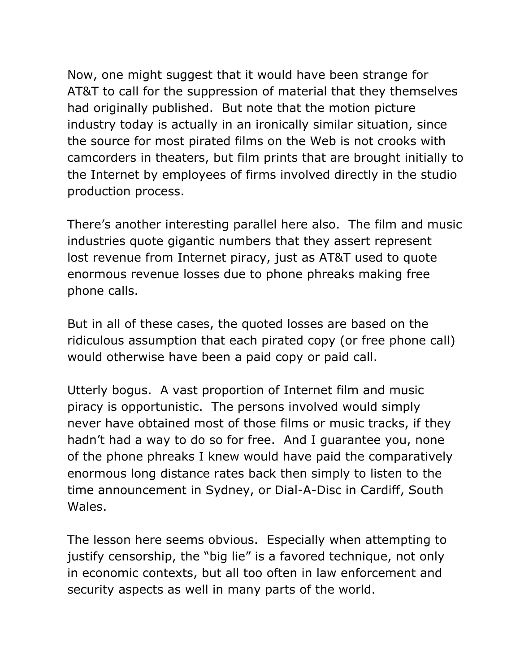Now, one might suggest that it would have been strange for AT&T to call for the suppression of material that they themselves had originally published. But note that the motion picture industry today is actually in an ironically similar situation, since the source for most pirated films on the Web is not crooks with camcorders in theaters, but film prints that are brought initially to the Internet by employees of firms involved directly in the studio production process.

There's another interesting parallel here also. The film and music industries quote gigantic numbers that they assert represent lost revenue from Internet piracy, just as AT&T used to quote enormous revenue losses due to phone phreaks making free phone calls.

But in all of these cases, the quoted losses are based on the ridiculous assumption that each pirated copy (or free phone call) would otherwise have been a paid copy or paid call.

Utterly bogus. A vast proportion of Internet film and music piracy is opportunistic. The persons involved would simply never have obtained most of those films or music tracks, if they hadn't had a way to do so for free. And I guarantee you, none of the phone phreaks I knew would have paid the comparatively enormous long distance rates back then simply to listen to the time announcement in Sydney, or Dial-A-Disc in Cardiff, South Wales.

The lesson here seems obvious. Especially when attempting to justify censorship, the "big lie" is a favored technique, not only in economic contexts, but all too often in law enforcement and security aspects as well in many parts of the world.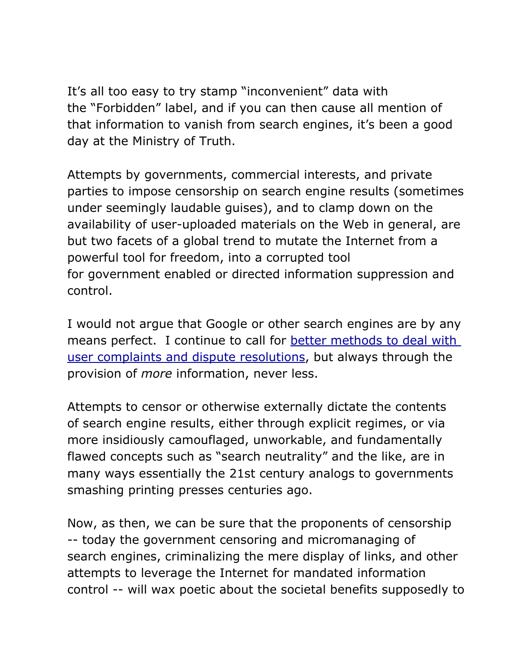It's all too easy to try stamp "inconvenient" data with the "Forbidden" label, and if you can then cause all mention of that information to vanish from search engines, it's been a good day at the Ministry of Truth.

Attempts by governments, commercial interests, and private parties to impose censorship on search engine results (sometimes under seemingly laudable guises), and to clamp down on the availability of user-uploaded materials on the Web in general, are but two facets of a global trend to mutate the Internet from a powerful tool for freedom, into a corrupted tool for government enabled or directed information suppression and control.

I would not argue that Google or other search engines are by any means perfect. I continue to call for [better](http://lauren.vortex.com/archive/000254.html) meth[o](http://lauren.vortex.com/archive/000254.html)ds to [dea](http://lauren.vortex.com/archive/000254.html)l with [user](http://lauren.vortex.com/archive/000254.html) co[mplaints](http://lauren.vortex.com/archive/000254.html) and dispute re[solutio](http://lauren.vortex.com/archive/000254.html)ns[,](http://lauren.vortex.com/archive/000254.html) but [alwa](http://lauren.vortex.com/archive/000254.html)ys thr[ou](http://lauren.vortex.com/archive/000254.html)gh [the](http://lauren.vortex.com/archive/000254.html) provision of *more* information, never less.

Attempts to censor or otherwise externally dictate the contents of search engine results, either through explicit regimes, or via more insidiously camouflaged, unworkable, and fundamentally flawed concepts such as "search neutrality" and the like, are in many ways essentially the 21st century analogs to governments smashing printing presses centuries ago.

Now, as then, we can be sure that the proponents of censorship -- today the government censoring and micromanaging of search engines, criminalizing the mere display of links, and other attempts to leverage the Internet for mandated information control -- will wax poetic about the societal benefits supposedly to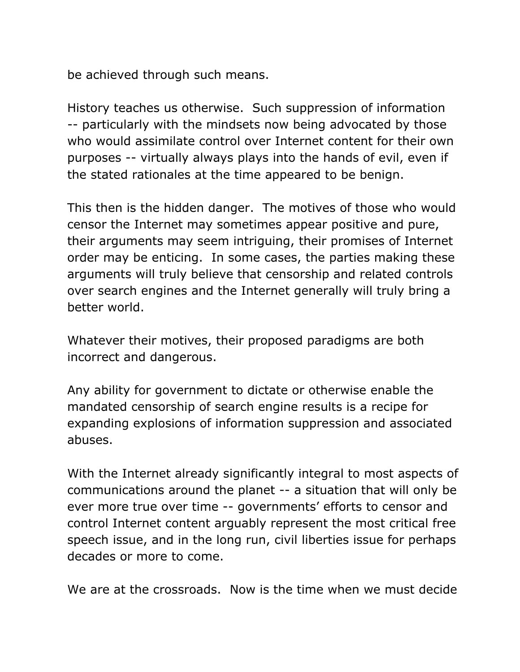be achieved through such means.

History teaches us otherwise. Such suppression of information -- particularly with the mindsets now being advocated by those who would assimilate control over Internet content for their own purposes -- virtually always plays into the hands of evil, even if the stated rationales at the time appeared to be benign.

This then is the hidden danger. The motives of those who would censor the Internet may sometimes appear positive and pure, their arguments may seem intriguing, their promises of Internet order may be enticing. In some cases, the parties making these arguments will truly believe that censorship and related controls over search engines and the Internet generally will truly bring a better world.

Whatever their motives, their proposed paradigms are both incorrect and dangerous.

Any ability for government to dictate or otherwise enable the mandated censorship of search engine results is a recipe for expanding explosions of information suppression and associated abuses.

With the Internet already significantly integral to most aspects of communications around the planet -- a situation that will only be ever more true over time -- governments' efforts to censor and control Internet content arguably represent the most critical free speech issue, and in the long run, civil liberties issue for perhaps decades or more to come.

We are at the crossroads. Now is the time when we must decide